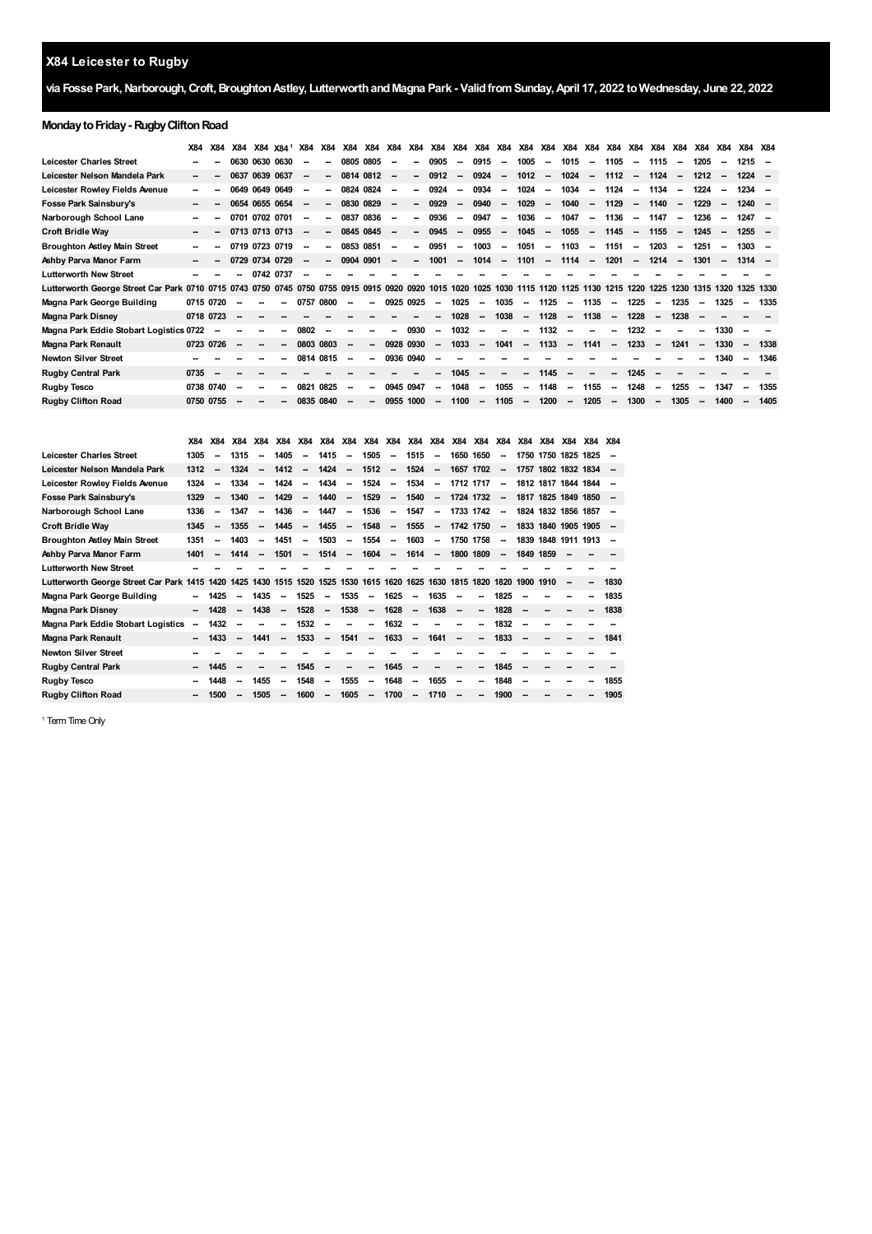# **X84 Leicester to Rugby**

## **via Fosse Park,Narborough,Croft,BroughtonAstley, LutterworthandMagna Park - ValidfromSunday,April 17, 2022 toWednesday, June 22, 2022**

## **Monday to Friday - Rugby Clifton Road**

|                                         | X84                      | X84                      | X84  |                | X84 X84 <sup>1</sup> | X84                      | X84    |                          | X84 X84 X84              |           | <b>X84</b>               | <b>X84</b>                                             | X84                      | X84 X84                  |                          |                          |                          |                          |                          | X84 X84 X84 X84 X84 X84 X84 |                          |                          | X84                      | X84  | X84                      | X84 X84   |        |
|-----------------------------------------|--------------------------|--------------------------|------|----------------|----------------------|--------------------------|--------|--------------------------|--------------------------|-----------|--------------------------|--------------------------------------------------------|--------------------------|--------------------------|--------------------------|--------------------------|--------------------------|--------------------------|--------------------------|-----------------------------|--------------------------|--------------------------|--------------------------|------|--------------------------|-----------|--------|
| <b>Leicester Charles Street</b>         |                          |                          |      | 0630 0630 0630 |                      |                          | --     | 0805                     | 0805                     | --        |                          | 0905                                                   | $\overline{\phantom{a}}$ | 0915                     | $\overline{\phantom{a}}$ | 1005                     | $\overline{\phantom{a}}$ | 1015                     | $\overline{\phantom{a}}$ | 1105                        | $\overline{\phantom{a}}$ | 1115                     | $\sim$                   | 1205 | $\sim$                   | 1215      |        |
| Leicester Nelson Mandela Park           | $\overline{\phantom{a}}$ |                          |      | 0637 0639 0637 |                      |                          | $\sim$ | 0814 0812                |                          | --        | $\sim$                   | 0912                                                   | $\overline{\phantom{a}}$ | 0924                     | $\overline{\phantom{a}}$ | 1012                     | $\overline{\phantom{a}}$ | 1024                     | $\overline{\phantom{a}}$ | 1112                        | $\sim$                   | 1124                     | $\sim$                   | 1212 | $\overline{\phantom{a}}$ | $1224 -$  |        |
| Leicester Rowley Fields Avenue          | --                       |                          |      | 0649 0649 0649 |                      |                          | $\sim$ | 0824                     | 0824                     | --        | -                        | 0924                                                   | $\overline{\phantom{a}}$ | 0934                     | $\overline{\phantom{a}}$ | 1024                     | $\sim$                   | 1034                     | $\sim$                   | 1124                        | $\sim$                   | 1134                     | $\overline{\phantom{a}}$ | 1224 | $\sim$                   | $1234 -$  |        |
| Fosse Park Sainsbury's                  | $\sim$                   |                          |      | 0654 0655 0654 |                      | $\overline{\phantom{a}}$ | $\sim$ |                          | 0830 0829                | $\sim$    | $\sim$                   | 0929                                                   | $\sim$                   | 0940                     | $\sim$                   | 1029                     | $\overline{\phantom{a}}$ | 1040                     | $\overline{\phantom{a}}$ | 1129                        | $\sim$                   | 1140                     | $\overline{\phantom{a}}$ | 1229 | $\sim$                   | $1240 -$  |        |
| Narborough School Lane                  | $\sim$                   |                          | 0701 | 0702 0701      |                      | $\overline{\phantom{a}}$ | $\sim$ | 0837                     | 0836                     | $\sim$    | $\overline{\phantom{a}}$ | 0936                                                   | $\sim$                   | 0947                     | $\overline{\phantom{a}}$ | 1036                     | $\sim$                   | 1047                     | $\overline{\phantom{a}}$ | 1136                        | $\sim$                   | 1147                     | $\sim$                   | 1236 | $\sim$                   | 1247      |        |
| Croft Bridle Way                        | $\sim$                   | $\overline{\phantom{a}}$ |      | 0713 0713 0713 |                      |                          | $\sim$ |                          | 0845 0845                | --        | $\sim$                   | 0945                                                   | $\overline{\phantom{a}}$ | 0955                     | $\overline{\phantom{a}}$ | 1045                     | $\overline{\phantom{a}}$ | 1055                     | $\overline{\phantom{a}}$ | 1145                        | $\sim$                   | 1155                     | $\overline{\phantom{a}}$ | 1245 | $\overline{\phantom{a}}$ | $1255 -$  |        |
| <b>Broughton Astley Main Street</b>     | $\sim$                   |                          |      | 0719 0723 0719 |                      |                          | --     | 0853 0851                |                          | --        |                          | 0951                                                   | $\overline{\phantom{a}}$ | 1003                     |                          | 1051                     | $\overline{\phantom{a}}$ | 1103                     | --                       | 1151                        | $\overline{\phantom{a}}$ | 1203                     | $\overline{\phantom{a}}$ | 1251 |                          | 1303      | $\sim$ |
| Ashby Parva Manor Farm                  | $\overline{\phantom{a}}$ |                          |      | 0729 0734 0729 |                      |                          | --     | 0904                     | 0901                     | --        | $\overline{\phantom{a}}$ | 1001                                                   | $\overline{\phantom{a}}$ | 1014                     | $\overline{\phantom{a}}$ | 1101                     | $\overline{\phantom{a}}$ | 1114                     | $\overline{\phantom{a}}$ | 1201                        | $\overline{\phantom{a}}$ | 1214                     |                          | 1301 |                          | $1314 -$  |        |
| <b>Lutterworth New Street</b>           | --                       |                          |      | 0742 0737      |                      |                          |        |                          |                          |           |                          |                                                        |                          |                          |                          |                          |                          |                          |                          |                             |                          |                          |                          |      |                          |           |        |
| Lutterworth George Street Car Park 0710 |                          | 0715                     |      |                |                      |                          |        |                          |                          |           |                          | 0743 0750 0745 0750 0755 0915 0915 0920 0920 1015 1020 |                          | 1025                     |                          |                          |                          | 1030 1115 1120 1125 1130 |                          | 1215                        | 1220                     | 1225                     | 1230                     | 1315 | 1320                     | 1325 1330 |        |
| Magna Park George Building              | 0715 0720                |                          |      |                |                      | 0757                     | 0800   |                          | $\overline{\phantom{a}}$ | 0925 0925 |                          | $\sim$                                                 | 1025                     | $\sim$                   | 1035                     | $\overline{\phantom{a}}$ | 1125                     | $\overline{\phantom{a}}$ | 1135                     | $\overline{\phantom{a}}$    | 1225                     | --                       | 1235                     |      | 1325                     | $\sim$    | 1335   |
| Magna Park Disney                       | 0718 0723                |                          |      |                |                      |                          |        |                          |                          |           |                          | --                                                     | 1028                     | $\overline{\phantom{a}}$ | 1038                     | $\overline{\phantom{a}}$ | 1128                     | $\overline{\phantom{a}}$ | 1138                     | $\sim$                      | 1228                     | $\sim$                   | 1238                     |      |                          |           |        |
| Magna Park Eddie Stobart Logistics 0722 |                          |                          |      |                |                      | 0802                     |        |                          |                          |           | 0930                     | $\overline{\phantom{a}}$                               | 1032                     | --                       |                          | -                        | 1132                     |                          |                          |                             | 1232                     |                          |                          |      | 1330                     |           |        |
| Magna Park Renault                      | 0723 0726                |                          | --   | $\sim$         | --                   | 0803                     | 0803   | $\overline{\phantom{a}}$ | $\overline{\phantom{a}}$ | 0928 0930 |                          | $\overline{\phantom{a}}$                               | 1033                     | $\overline{\phantom{a}}$ | 1041                     | $\overline{\phantom{a}}$ | 1133                     | $\overline{\phantom{a}}$ | 1141                     | $\sim$                      | 1233                     | $\sim$                   | 1241                     |      | 1330                     | --        | 1338   |
| <b>Newton Silver Street</b>             |                          |                          |      |                |                      | 0814 0815                |        | --                       | $\overline{\phantom{a}}$ | 0936 0940 |                          | $\overline{\phantom{a}}$                               |                          |                          |                          |                          |                          |                          |                          |                             |                          |                          |                          |      | 1340                     | $\sim$    | 1346   |
| <b>Rugby Central Park</b>               | 0735                     |                          |      |                |                      |                          |        |                          |                          |           |                          | $\overline{\phantom{a}}$                               | 1045                     | $\overline{\phantom{a}}$ |                          | $\overline{\phantom{a}}$ | 1145                     |                          |                          |                             | 1245                     | -                        |                          |      |                          |           |        |
| <b>Rugby Tesco</b>                      | 0738                     | 0740                     |      | $\sim$         |                      | 0821                     | 0825   | --                       | $\overline{\phantom{a}}$ | 0945 0947 |                          | $\overline{\phantom{a}}$                               | 1048                     | $\overline{\phantom{a}}$ | 1055                     | $\overline{\phantom{a}}$ | 1148                     | $\overline{\phantom{a}}$ | 1155                     | $\overline{\phantom{a}}$    | 1248                     | $\overline{\phantom{a}}$ | 1255                     |      | 1347                     | $\sim$    | 1355   |
| <b>Rugby Clifton Road</b>               | 0750 0755                |                          |      |                |                      | 0835 0840                |        |                          |                          | 0955      | 1000                     | -                                                      | 1100                     | $\overline{\phantom{a}}$ | 1105                     | $\overline{\phantom{a}}$ | 1200                     | $\overline{\phantom{a}}$ | 1205                     | $\sim$                      | 1300                     | $\sim$                   | 1305                     |      | 1400                     | $\sim$    | 1405   |

|                                         | <b>X84</b> | <b>X84</b> | X84  | <b>X84</b> | <b>X84</b> | <b>X84</b> | <b>X84</b>               | <b>X84</b> | X84       | <b>X84</b> | <b>X84</b> | <b>X84</b> | <b>X84</b> | X84       | <b>X84</b> | X84  | X84                 | X84 | X84 X84 |      |
|-----------------------------------------|------------|------------|------|------------|------------|------------|--------------------------|------------|-----------|------------|------------|------------|------------|-----------|------------|------|---------------------|-----|---------|------|
| <b>Leicester Charles Street</b>         | 1305       |            | 1315 |            | 1405       |            | 1415                     |            | 1505      |            | 1515       | -          |            | 1650 1650 |            |      | 1750 1750 1825 1825 |     |         |      |
| Leicester Nelson Mandela Park           | 1312       |            | 1324 |            | 1412       |            | 1424                     |            | 1512      |            | 1524       | -          | 1657       | 1702      |            | 1757 | 1802 1832 1834      |     |         |      |
| Leicester Rowley Fields Avenue          | 1324       |            | 1334 |            | 1424       |            | 1434                     |            | 1524      |            | 1534       | -          |            | 1712 1717 |            |      | 1812 1817 1844 1844 |     |         |      |
| <b>Fosse Park Sainsbury's</b>           | 1329       |            | 1340 |            | 1429       |            | 1440                     |            | 1529      |            | 1540       | -          |            | 1724 1732 |            |      | 1817 1825 1849 1850 |     |         |      |
| Narborough School Lane                  | 1336       |            | 1347 |            | 1436       |            | 1447                     | -          | 1536      |            | 1547       | -          | 1733       | 1742      |            |      | 1824 1832 1856 1857 |     |         |      |
| <b>Croft Bridle Way</b>                 | 1345       |            | 1355 |            | 1445       |            | 1455                     |            | 1548      |            | 1555       |            |            | 1742 1750 |            |      | 1833 1840 1905 1905 |     |         |      |
| <b>Broughton Astley Main Street</b>     | 1351       |            | 1403 |            | 1451       |            | 1503                     | --         | 1554      |            | 1603       | -          | 1750       | 1758      |            | 1839 | 1848 1911 1913      |     |         |      |
| Ashby Parva Manor Farm                  | 1401       |            | 1414 |            | 1501       |            | 1514                     |            | 1604      |            | 1614       | -          |            | 1800 1809 |            | 1849 | 1859                |     |         |      |
| <b>Lutterworth New Street</b>           |            |            |      |            |            |            |                          |            |           |            |            |            |            |           |            |      |                     |     |         |      |
| Lutterworth George Street Car Park 1415 |            | 1420       | 1425 | 1430 1515  |            | 1520       | 1525                     |            | 1530 1615 | 1620       | 1625       | 1630       | 1815       | 1820      | 1820       | 1900 | 1910                |     | --      | 1830 |
| Magna Park George Building              | -          | 1425       |      | 1435       |            | 1525       | --                       | 1535       |           | 1625       |            | 1635       |            |           | 1825       |      |                     |     |         | 1835 |
| Magna Park Disney                       | --         | 1428       |      | 1438       |            | 1528       | --                       | 1538       | -         | 1628       |            | 1638       |            |           | 1828       |      |                     |     |         | 1838 |
| Magna Park Eddie Stobart Logistics      | --         | 1432       |      |            |            | 1532       |                          |            |           | 1632       |            |            |            |           | 1832       |      |                     |     |         |      |
| <b>Magna Park Renault</b>               | --         | 1433       |      | 1441       |            | 1533       | $\overline{\phantom{a}}$ | 1541       | -         | 1633       |            | 1641       |            |           | 1833       |      |                     |     |         | 1841 |
| <b>Newton Silver Street</b>             |            |            |      |            |            |            |                          |            |           |            |            |            |            |           |            |      |                     |     |         |      |
| <b>Rugby Central Park</b>               |            | 1445       |      |            |            | 1545       |                          |            |           | 1645       |            |            |            |           | 1845       |      |                     |     |         |      |
| Rugby Tesco                             |            | 1448       |      | 1455       |            | 1548       |                          | 1555       |           | 1648       |            | 1655       |            |           | 1848       |      |                     |     |         | 1855 |
| <b>Rugby Clifton Road</b>               |            | 1500       |      | 1505       |            | 1600       |                          | 1605       |           | 1700       |            | 1710       |            |           | 1900       |      |                     |     |         | 1905 |

<span id="page-0-0"></span><sup>1</sup> Term Time Only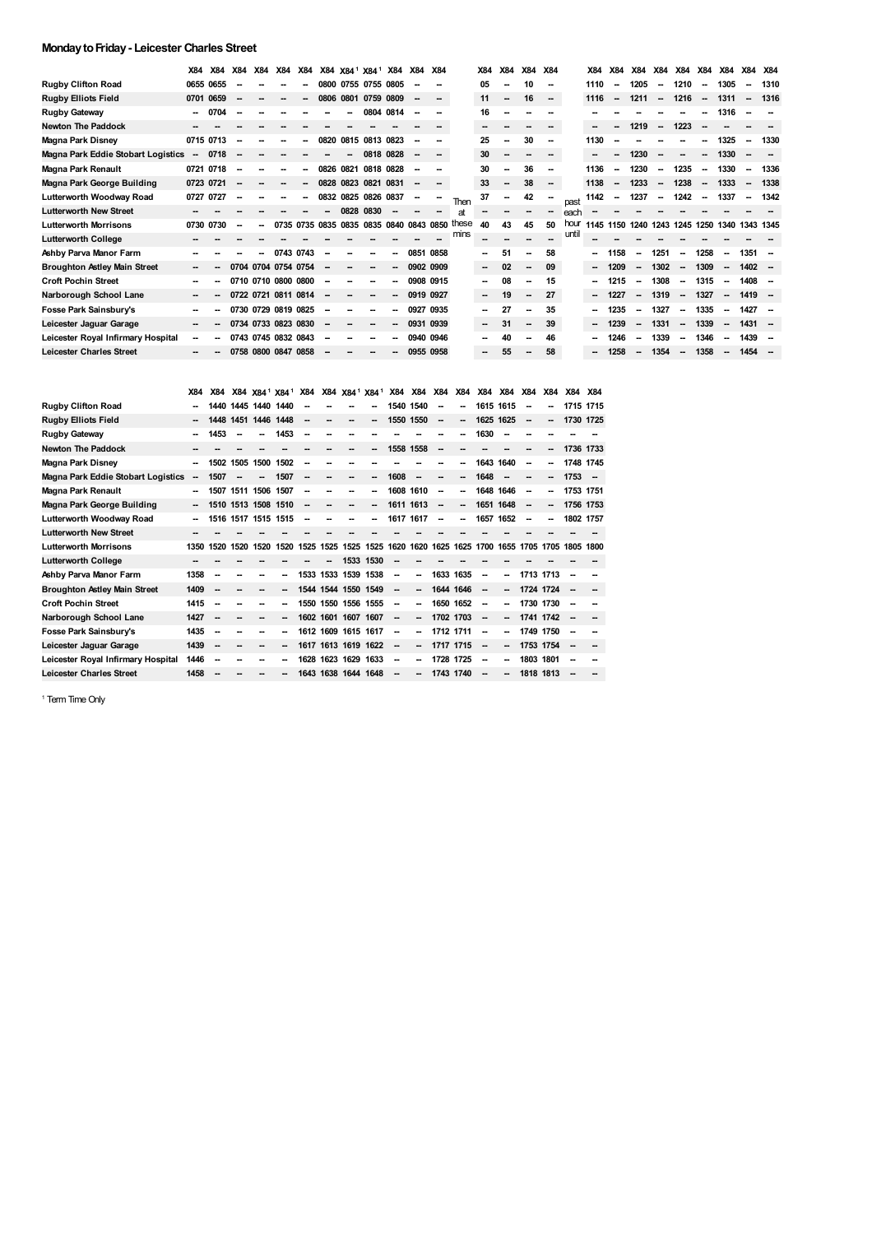#### **MondaytoFriday- Leicester Charles Street**

|                                     | X84                      | X84       | X84    | <b>X84</b> | X84                 | X84 |           | X84 X84 <sup>1</sup> X84 <sup>1</sup> |                     | <b>X84</b> | <b>X84</b> | X84 |       | X84    | X84                      | X84                      | <b>X84</b> |       | <b>X84</b>                    | <b>X84</b>               | <b>X84</b>               | <b>X84</b>               | X84 X84                  |                          | <b>X84</b>               | <b>X84</b>               | X84                      |
|-------------------------------------|--------------------------|-----------|--------|------------|---------------------|-----|-----------|---------------------------------------|---------------------|------------|------------|-----|-------|--------|--------------------------|--------------------------|------------|-------|-------------------------------|--------------------------|--------------------------|--------------------------|--------------------------|--------------------------|--------------------------|--------------------------|--------------------------|
| <b>Rugby Clifton Road</b>           |                          | 0655 0655 |        |            |                     |     |           | 0800 0755 0755 0805                   |                     |            |            | --  |       | 05     | --                       | 10                       | --         |       | 1110                          | --                       | 1205                     | $\overline{\phantom{a}}$ | 1210                     | $\overline{\phantom{a}}$ | 1305                     | --                       | 1310                     |
| <b>Rugby Elliots Field</b>          | 0701                     | 0659      |        |            |                     | --  | 0806 0801 |                                       | 0759                | 0809       |            | --  |       | 11     | $\sim$                   | 16                       | $\sim$     |       | 1116                          | $\overline{\phantom{a}}$ | 1211                     | $\overline{\phantom{a}}$ | 1216                     | $\overline{\phantom{a}}$ | 1311                     | $\overline{\phantom{a}}$ | 1316                     |
| <b>Rugby Gateway</b>                | $\sim$                   | 0704      | $\sim$ |            |                     |     |           |                                       | 0804                | 0814       |            | --  |       | 16     |                          |                          |            |       |                               |                          |                          |                          |                          |                          | 1316                     |                          |                          |
| <b>Newton The Paddock</b>           |                          |           |        |            |                     |     |           |                                       |                     |            |            | --  |       |        |                          | $\sim$                   |            |       |                               |                          | 1219                     | $\overline{\phantom{a}}$ | 1223                     | $\overline{\phantom{a}}$ |                          |                          |                          |
| Magna Park Disney                   |                          | 0715 0713 |        |            |                     | --  | 0820      | 0815 0813 0823                        |                     |            |            | --  |       | 25     |                          | 30                       | $\sim$     |       | 1130                          |                          |                          |                          |                          |                          | 1325                     | $\overline{\phantom{a}}$ | 1330                     |
| Magna Park Eddie Stobart Logistics  | $\overline{\phantom{a}}$ | 0718      |        |            |                     |     |           | -                                     | 0818                | 0828       |            | --  |       | 30     |                          |                          |            |       |                               |                          | 1230                     |                          | -                        | $\overline{\phantom{a}}$ | 1330                     |                          |                          |
| Magna Park Renault                  |                          | 0721 0718 |        |            |                     | --  | 0826      | 0821                                  | 0818 0828           |            |            | --  |       | 30     |                          | 36                       | $\sim$     |       | 1136                          | $\overline{\phantom{a}}$ | 1230                     | $\overline{\phantom{a}}$ | 1235                     | $\overline{\phantom{a}}$ | 1330                     | $\sim$                   | 1336                     |
| Magna Park George Building          | 0723 0721                |           |        |            |                     | --  |           | 0828 0823                             | 0821                | 0831       | $\sim$     | --  |       | 33     | $\overline{\phantom{a}}$ | 38                       | $\sim$     |       | 1138                          | $\overline{\phantom{a}}$ | 1233                     | $\overline{\phantom{a}}$ | 1238                     | $\sim$                   | 1333                     | $\overline{\phantom{a}}$ | 1338                     |
| Lutterworth Woodway Road            |                          | 0727 0727 |        |            |                     | --  |           | 0832 0825 0826 0837                   |                     |            |            | --  | Then  | 37     |                          | 42                       |            | past  | 1142                          | $\sim$                   | 1237                     | $\overline{\phantom{a}}$ | 1242                     |                          | 1337                     |                          | 1342                     |
| <b>Lutterworth New Street</b>       |                          |           |        |            |                     |     |           | 0828                                  | 0830                |            |            |     | at    |        |                          |                          | $\sim$     | each  |                               |                          |                          |                          |                          |                          |                          |                          |                          |
| <b>Lutterworth Morrisons</b>        |                          | 0730 0730 |        |            | 0735 0735 0835 0835 |     |           |                                       | 0835 0840 0843 0850 |            |            |     | these | 40     | 43                       | 45                       | 50         | hour  | 1145 1150 1240 1243 1245 1250 |                          |                          |                          |                          |                          | 1340 1343 1345           |                          |                          |
| <b>Lutterworth College</b>          |                          |           |        |            |                     |     |           |                                       |                     |            |            |     | mins  |        |                          |                          |            | until |                               |                          |                          |                          |                          |                          |                          |                          |                          |
| Ashby Parva Manor Farm              |                          |           |        |            | 0743 0743           |     |           |                                       |                     |            | 0851 0858  |     |       | $\sim$ | 51                       | --                       | 58         |       |                               | 1158                     | --                       | 1251                     | $\overline{\phantom{a}}$ | 1258                     | -                        | 1351                     |                          |
| <b>Broughton Astley Main Street</b> | $\sim$                   |           |        |            | 0704 0704 0754 0754 |     |           |                                       |                     | --         | 0902 0909  |     |       | $\sim$ | 02                       | $\sim$                   | 09         |       | $\sim$                        | 1209                     | $\overline{\phantom{a}}$ | 1302                     | $\overline{\phantom{a}}$ | 1309                     | $\overline{\phantom{a}}$ | 1402                     | - -                      |
| <b>Croft Pochin Street</b>          | --                       |           |        |            | 0710 0710 0800 0800 |     |           |                                       |                     | ٠.         | 0908 0915  |     |       | $\sim$ | 08                       | --                       | 15         |       |                               | 1215                     | $\overline{\phantom{a}}$ | 1308                     | $\overline{\phantom{a}}$ | 1315                     | $\overline{\phantom{a}}$ | 1408                     |                          |
| Narborough School Lane              | $\sim$                   |           |        |            | 0722 0721 0811 0814 |     |           |                                       |                     | $\sim$     | 0919 0927  |     |       | $\sim$ | 19                       | $\overline{\phantom{a}}$ | 27         |       | $\overline{\phantom{a}}$      | 1227                     | $\overline{\phantom{a}}$ | 1319                     | $\overline{\phantom{a}}$ | 1327                     | $\overline{\phantom{a}}$ | 1419                     |                          |
| Fosse Park Sainsbury's              | --                       |           |        |            | 0730 0729 0819 0825 |     |           |                                       |                     |            | 0927 0935  |     |       |        | 27                       | --                       | 35         |       | $\sim$                        | 1235                     | $\sim$                   | 1327                     | $\overline{\phantom{a}}$ | 1335                     | $\sim$                   | 1427                     |                          |
| Leicester Jaguar Garage             | $\sim$                   |           |        |            | 0734 0733 0823 0830 |     |           |                                       |                     | -          | 0931 0939  |     |       |        | 31                       | --                       | 39         |       | $\sim$                        | 1239                     |                          | 1331                     | $\overline{\phantom{a}}$ | 1339                     | $\overline{\phantom{a}}$ | $1431 -$                 |                          |
| Leicester Royal Infirmary Hospital  | $\overline{\phantom{a}}$ |           |        |            | 0743 0745 0832 0843 |     |           |                                       |                     |            | 0940 0946  |     |       |        | 40                       | --                       | 46         |       |                               | 1246                     |                          | 1339                     | --                       | 1346                     | $\sim$                   | 1439                     | $\overline{\phantom{a}}$ |
| <b>Leicester Charles Street</b>     |                          |           |        |            | 0758 0800 0847 0858 |     |           |                                       |                     |            | 0955 0958  |     |       |        | 55                       | --                       | 58         |       |                               | 1258                     |                          | 1354                     | $\overline{\phantom{a}}$ | 1358                     | --                       | 1454                     |                          |

|                                     | X84                      | <b>X84</b> |           |           | X84 X84 <sup>1</sup> X84 <sup>1</sup> | <b>X84</b> |           | X84 X84 <sup>1</sup> | X84 <sup>1</sup> | <b>X84</b> | <b>X84</b>               | <b>X84</b>               | X84  | X84                      | <b>X84</b> | <b>X84</b> | X84       | X84       | X84  |
|-------------------------------------|--------------------------|------------|-----------|-----------|---------------------------------------|------------|-----------|----------------------|------------------|------------|--------------------------|--------------------------|------|--------------------------|------------|------------|-----------|-----------|------|
| <b>Ruaby Clifton Road</b>           |                          | 1440.      | 1445      | 1440      | 1440                                  |            |           |                      |                  | 1540       | 1540                     |                          |      | 1615                     | 1615       |            |           | 1715      | 1715 |
| <b>Rugby Elliots Field</b>          | $\sim$                   | 1448       | 1451      | 1446      | 1448                                  | --         |           |                      |                  | 1550 1550  |                          | $\overline{\phantom{a}}$ | --   | 1625 1625                |            | --         | --        | 1730 1725 |      |
| Rugby Gateway                       | --                       | 1453       | --        |           | 1453                                  |            |           |                      |                  |            |                          |                          |      | 1630                     | --         |            |           |           |      |
| <b>Newton The Paddock</b>           | --                       |            |           |           |                                       |            |           |                      | --               | 1558 1558  |                          | $\overline{\phantom{a}}$ |      |                          |            | --         | --        | 1736 1733 |      |
| Magna Park Disney                   | $\overline{\phantom{a}}$ | 1502       | 1505      | 1500      | 1502                                  | -          |           |                      |                  |            |                          |                          | --   | 1643                     | 1640       | --         | --        | 1748 1745 |      |
| Magna Park Eddie Stobart Logistics  | --                       | 1507       | --        |           | 1507                                  | -          |           |                      | --               | 1608       | $\overline{\phantom{a}}$ |                          | -    | 1648                     | --         |            | --        | 1753      | - -  |
| Magna Park Renault                  | -                        | 1507       | 1511      | 1506      | 1507                                  | --         |           |                      | --               |            | 1608 1610                | $\overline{\phantom{a}}$ | --   | 1648                     | 1646       | --         | --        | 1753 1751 |      |
| Magna Park George Building          | $\overline{\phantom{a}}$ | 1510       |           | 1513 1508 | 1510                                  | --         |           |                      |                  | 1611 1613  |                          | $\overline{\phantom{a}}$ | -    | 1651 1648                |            | --         | --        | 1756 1753 |      |
| Lutterworth Woodway Road            | --                       |            | 1516 1517 | 1515      | 1515                                  |            |           |                      | --               | 1617 1617  |                          |                          | -    | 1657                     | 1652       | --         | --        | 1802 1757 |      |
| <b>Lutterworth New Street</b>       |                          |            |           |           |                                       |            |           |                      |                  |            |                          |                          |      |                          |            |            |           |           |      |
| <b>Lutterworth Morrisons</b>        | 1350                     | 1520       | 1520      | 1520      | 1520                                  | 1525       | 1525      | 1525                 | 1525             | 1620       | 1620                     | 1625                     | 1625 | 1700                     | 1655       | 1705       | 1705      | 1805      | 1800 |
| <b>Lutterworth College</b>          |                          |            |           |           |                                       |            |           | 1533                 | 1530             |            |                          |                          |      |                          |            |            |           |           |      |
| Ashby Parva Manor Farm              | 1358                     | --         |           |           |                                       |            |           | 1533 1533 1539 1538  |                  |            |                          | 1633 1635                |      | --                       | --         |            | 1713 1713 | --        |      |
| <b>Broughton Astley Main Street</b> | 1409                     | --         |           |           |                                       |            |           | 1544 1544 1550 1549  |                  |            | -−                       | 1644 1646                |      | $\overline{\phantom{a}}$ | --         | 1724 1724  |           |           |      |
| <b>Croft Pochin Street</b>          | 1415                     | --         |           |           |                                       |            |           | 1550 1550 1556 1555  |                  |            |                          | 1650 1652                |      | --                       | --         |            | 1730 1730 |           |      |
| Narborough School Lane              | 1427                     | --         |           |           |                                       |            |           | 1602 1601 1607       | 1607             |            |                          | 1702 1703                |      | --                       | --         | 1741 1742  |           | --        |      |
| Fosse Park Sainsbury's              | 1435                     | --         | --        |           |                                       |            | 1612 1609 | 1615                 | 1617             |            |                          | 1712 1711                |      | --                       | --         |            | 1749 1750 | --        |      |
| Leicester Jaguar Garage             | 1439                     | --         | --        |           |                                       |            |           | 1617 1613 1619 1622  |                  |            |                          | 1717 1715                |      | --                       | --         |            | 1753 1754 | --        |      |
| Leicester Royal Infirmary Hospital  | 1446                     |            |           |           |                                       | 1628       | 1623      | 1629                 | 1633             |            |                          | 1728 1725                |      | --                       | --         | 1803       | 1801      |           |      |
| <b>Leicester Charles Street</b>     | 1458                     |            |           |           |                                       |            |           | 1643 1638 1644 1648  |                  |            |                          | 1743 1740                |      |                          |            |            | 1818 1813 |           |      |

<sup>1</sup> Term Time Only